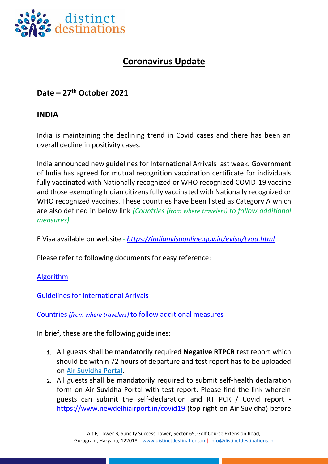

## **Coronavirus Update**

## **Date – 27th October 2021**

## **INDIA**

India is maintaining the declining trend in Covid cases and there has been an overall decline in positivity cases.

India announced new guidelines for International Arrivals last week. Government of India has agreed for mutual recognition vaccination certificate for individuals fully vaccinated with Nationally recognized or WHO recognized COVID-19 vaccine and those exempting Indian citizens fully vaccinated with Nationally recognized or WHO recognized vaccines. These countries have been listed as Category A which are also defined in below link *(Countries (from where travelers) to follow additional measures).* 

E Visa available on website *- <https://indianvisaonline.gov.in/evisa/tvoa.html>*

Please refer to following documents for easy reference:

## [Algorithm](https://www.distinctdestinations.in/DistinctDestinationsBackEndImg/BrochurePdf/algorithm-guidelines-for-international-arrivals-oct-2021-1.pdf)

[Guidelines for International Arrivals](https://www.distinctdestinations.in/DistinctDestinationsBackEndImg/BrochurePdf/guidelines-for-international-arrival-20th-oct-1.pdf)

Countries *(from where travelers)* [to follow additional measures](https://www.distinctdestinations.in/DistinctDestinationsBackEndImg/BrochurePdf/list-of-countries-for-new-travel-guildeines-1.pdf)

In brief, these are the following guidelines:

- 1. All guests shall be mandatorily required **Negative RTPCR** test report which should be within 72 hours of departure and test report has to be uploaded on [Air Suvidha Portal.](https://www.newdelhiairport.in/airsuvidha/apho-registration)
- 2. All guests shall be mandatorily required to submit self-health declaration form on Air Suvidha Portal with test report. Please find the link wherein guests can submit the self-declaration and RT PCR / Covid report <https://www.newdelhiairport.in/covid19> (top right on Air Suvidha) before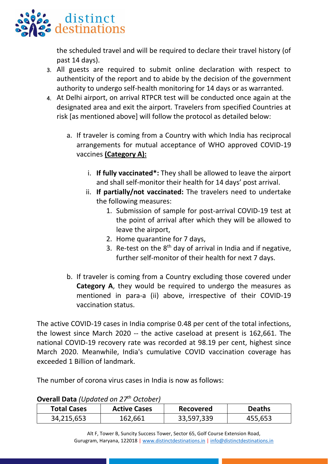

the scheduled travel and will be required to declare their travel history (of past 14 days).

- 3. All guests are required to submit online declaration with respect to authenticity of the report and to abide by the decision of the government authority to undergo self-health monitoring for 14 days or as warranted.
- 4. At Delhi airport, on arrival RTPCR test will be conducted once again at the designated area and exit the airport. Travelers from specified Countries at risk [as mentioned above] will follow the protocol as detailed below:
	- a. If traveler is coming from a Country with which India has reciprocal arrangements for mutual acceptance of WHO approved COVID-19 vaccines **(Category A):**
		- i. **If fully vaccinated\*:** They shall be allowed to leave the airport and shall self-monitor their health for 14 days' post arrival.
		- ii. **If partially/not vaccinated:** The travelers need to undertake the following measures:
			- 1. Submission of sample for post-arrival COVID-19 test at the point of arrival after which they will be allowed to leave the airport,
			- 2. Home quarantine for 7 days,
			- 3. Re-test on the  $8<sup>th</sup>$  day of arrival in India and if negative, further self-monitor of their health for next 7 days.
	- b. If traveler is coming from a Country excluding those covered under **Category A**, they would be required to undergo the measures as mentioned in para-a (ii) above, irrespective of their COVID-19 vaccination status.

The active COVID-19 cases in India comprise 0.48 per cent of the total infections, the lowest since March 2020 -- the active caseload at present is 162,661. The national COVID-19 recovery rate was recorded at 98.19 per cent, highest since March 2020. Meanwhile, India's cumulative COVID vaccination coverage has exceeded 1 Billion of landmark.

The number of corona virus cases in India is now as follows:

| <b>OVCHAIL DATA TODAYICA OIL 27</b><br><b>ULLUNLI</b> |                     |                  |               |
|-------------------------------------------------------|---------------------|------------------|---------------|
| <b>Total Cases</b>                                    | <b>Active Cases</b> | <b>Recovered</b> | <b>Deaths</b> |
| 34,215,653                                            | 162,661             | 33,597,339       | 455,653       |

**Overall Data** *(Updated on 27th October)*